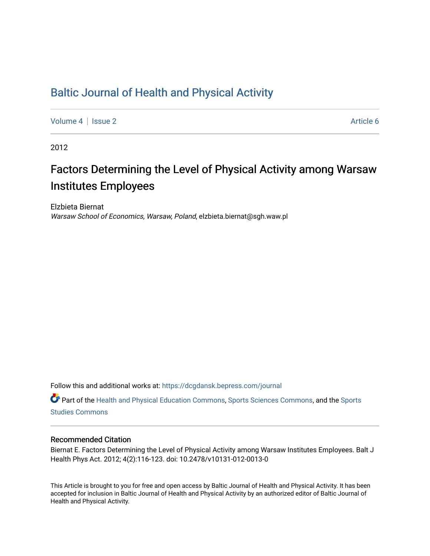# [Baltic Journal of Health and Physical Activity](https://dcgdansk.bepress.com/journal)

[Volume 4](https://dcgdansk.bepress.com/journal/vol4) | [Issue 2](https://dcgdansk.bepress.com/journal/vol4/iss2) Article 6

2012

# Factors Determining the Level of Physical Activity among Warsaw Institutes Employees

Elzbieta Biernat Warsaw School of Economics, Warsaw, Poland, elzbieta.biernat@sgh.waw.pl

Follow this and additional works at: [https://dcgdansk.bepress.com/journal](https://dcgdansk.bepress.com/journal?utm_source=dcgdansk.bepress.com%2Fjournal%2Fvol4%2Fiss2%2F6&utm_medium=PDF&utm_campaign=PDFCoverPages)

Part of the [Health and Physical Education Commons](http://network.bepress.com/hgg/discipline/1327?utm_source=dcgdansk.bepress.com%2Fjournal%2Fvol4%2Fiss2%2F6&utm_medium=PDF&utm_campaign=PDFCoverPages), [Sports Sciences Commons](http://network.bepress.com/hgg/discipline/759?utm_source=dcgdansk.bepress.com%2Fjournal%2Fvol4%2Fiss2%2F6&utm_medium=PDF&utm_campaign=PDFCoverPages), and the [Sports](http://network.bepress.com/hgg/discipline/1198?utm_source=dcgdansk.bepress.com%2Fjournal%2Fvol4%2Fiss2%2F6&utm_medium=PDF&utm_campaign=PDFCoverPages)  [Studies Commons](http://network.bepress.com/hgg/discipline/1198?utm_source=dcgdansk.bepress.com%2Fjournal%2Fvol4%2Fiss2%2F6&utm_medium=PDF&utm_campaign=PDFCoverPages) 

#### Recommended Citation

Biernat E. Factors Determining the Level of Physical Activity among Warsaw Institutes Employees. Balt J Health Phys Act. 2012; 4(2):116-123. doi: 10.2478/v10131-012-0013-0

This Article is brought to you for free and open access by Baltic Journal of Health and Physical Activity. It has been accepted for inclusion in Baltic Journal of Health and Physical Activity by an authorized editor of Baltic Journal of Health and Physical Activity.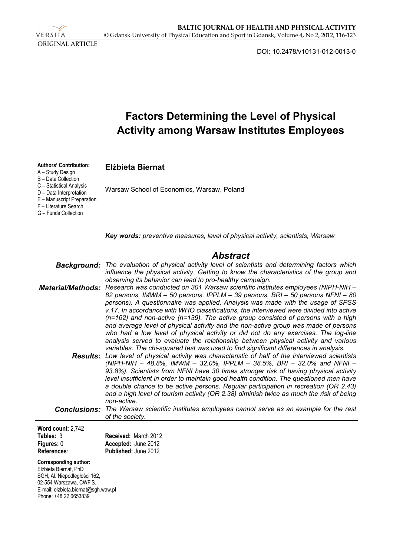VERSITA ORIGINAL ARTICLE

DOI: 10.2478/v10131-012-0013-0

|                                                                                                                                                                                  | <b>Factors Determining the Level of Physical</b><br><b>Activity among Warsaw Institutes Employees</b>                                                                                                                                                                                                                                                                                                                                                                                                                                                                                                                                                                                                                                                                                                |
|----------------------------------------------------------------------------------------------------------------------------------------------------------------------------------|------------------------------------------------------------------------------------------------------------------------------------------------------------------------------------------------------------------------------------------------------------------------------------------------------------------------------------------------------------------------------------------------------------------------------------------------------------------------------------------------------------------------------------------------------------------------------------------------------------------------------------------------------------------------------------------------------------------------------------------------------------------------------------------------------|
| <b>Authors' Contribution:</b><br>A - Study Design<br>B - Data Collection                                                                                                         | <b>Elżbieta Biernat</b>                                                                                                                                                                                                                                                                                                                                                                                                                                                                                                                                                                                                                                                                                                                                                                              |
| C - Statistical Analysis<br>D - Data Interpretation<br>E - Manuscript Preparation<br>F - Literature Search<br>G - Funds Collection                                               | Warsaw School of Economics, Warsaw, Poland                                                                                                                                                                                                                                                                                                                                                                                                                                                                                                                                                                                                                                                                                                                                                           |
|                                                                                                                                                                                  | Key words: preventive measures, level of physical activity, scientists, Warsaw                                                                                                                                                                                                                                                                                                                                                                                                                                                                                                                                                                                                                                                                                                                       |
|                                                                                                                                                                                  | <b>Abstract</b>                                                                                                                                                                                                                                                                                                                                                                                                                                                                                                                                                                                                                                                                                                                                                                                      |
| Background:                                                                                                                                                                      | The evaluation of physical activity level of scientists and determining factors which<br>influence the physical activity. Getting to know the characteristics of the group and<br>observing its behavior can lead to pro-healthy campaign.                                                                                                                                                                                                                                                                                                                                                                                                                                                                                                                                                           |
| <b>Material/Methods:</b>                                                                                                                                                         | Research was conducted on 301 Warsaw scientific institutes employees (NIPH-NIH -<br>82 persons, IMWM - 50 persons, IPPLM - 39 persons, BRI - 50 persons NFNI - 80<br>persons). A questionnaire was applied. Analysis was made with the usage of SPSS<br>v.17. In accordance with WHO classifications, the interviewed were divided into active<br>$(n=162)$ and non-active $(n=139)$ . The active group consisted of persons with a high<br>and average level of physical activity and the non-active group was made of persons<br>who had a low level of physical activity or did not do any exercises. The log-line<br>analysis served to evaluate the relationship between physical activity and various<br>variables. The chi-squared test was used to find significant differences in analysis. |
|                                                                                                                                                                                  | <b>Results:</b> Low level of physical activity was characteristic of half of the interviewed scientists<br>(NIPH-NIH – 48.8%, IMWM – 32.0%, IPPLM – 38.5%, BRI – 32.0% and NFNI –<br>93.8%). Scientists from NFNI have 30 times stronger risk of having physical activity<br>level insufficient in order to maintain good health condition. The questioned men have<br>a double chance to be active persons. Regular participation in recreation (OR 2.43)<br>and a high level of tourism activity (OR 2.38) diminish twice as much the risk of being<br>non-active.                                                                                                                                                                                                                                 |
| Conclusions:                                                                                                                                                                     | The Warsaw scientific institutes employees cannot serve as an example for the rest<br>of the society.                                                                                                                                                                                                                                                                                                                                                                                                                                                                                                                                                                                                                                                                                                |
| Word count: 2,742<br>Tables: 3                                                                                                                                                   | Received: March 2012                                                                                                                                                                                                                                                                                                                                                                                                                                                                                                                                                                                                                                                                                                                                                                                 |
| Figures: 0<br>References:                                                                                                                                                        | Accepted: June 2012<br>Published: June 2012                                                                                                                                                                                                                                                                                                                                                                                                                                                                                                                                                                                                                                                                                                                                                          |
| <b>Corresponding author:</b><br>Elżbieta Biernat, PhD<br>SGH, Al. Niepodległości 162,<br>02-554 Warszawa, CWFiS.<br>E-mail: elzbieta.biernat@sgh.waw.pl<br>Phone: +48 22 6653839 |                                                                                                                                                                                                                                                                                                                                                                                                                                                                                                                                                                                                                                                                                                                                                                                                      |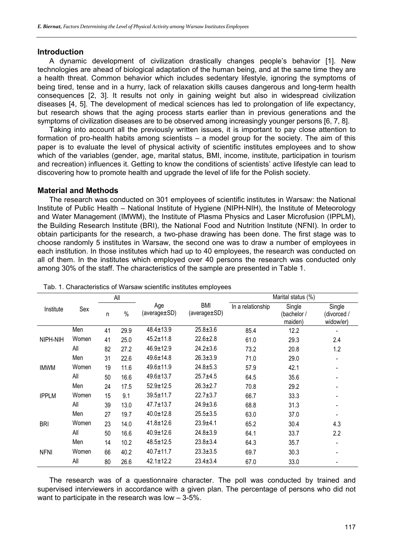### **Introduction**

A dynamic development of civilization drastically changes people's behavior [1]. New technologies are ahead of biological adaptation of the human being, and at the same time they are a health threat. Common behavior which includes sedentary lifestyle, ignoring the symptoms of being tired, tense and in a hurry, lack of relaxation skills causes dangerous and long-term health consequences [2, 3]. It results not only in gaining weight but also in widespread civilization diseases [4, 5]. The development of medical sciences has led to prolongation of life expectancy, but research shows that the aging process starts earlier than in previous generations and the symptoms of civilization diseases are to be observed among increasingly younger persons [6, 7, 8].

Taking into account all the previously written issues, it is important to pay close attention to formation of pro-health habits among scientists – a model group for the society. The aim of this paper is to evaluate the level of physical activity of scientific institutes employees and to show which of the variables (gender, age, marital status, BMI, income, institute, participation in tourism and recreation) influences it. Getting to know the conditions of scientists' active lifestyle can lead to discovering how to promote health and upgrade the level of life for the Polish society.

## **Material and Methods**

The research was conducted on 301 employees of scientific institutes in Warsaw: the National Institute of Public Health – National Institute of Hygiene (NIPH-NIH), the Institute of Meteorology and Water Management (IMWM), the Institute of Plasma Physics and Laser Microfusion (IPPLM), the Building Research Institute (BRI), the National Food and Nutrition Institute (NFNI). In order to obtain participants for the research, a two-phase drawing has been done. The first stage was to choose randomly 5 institutes in Warsaw, the second one was to draw a number of employees in each institution. In those institutes which had up to 40 employees, the research was conducted on all of them. In the institutes which employed over 40 persons the research was conducted only among 30% of the staff. The characteristics of the sample are presented in Table 1.

|              |       |    | All  |                     |                            |                   | Marital status (%)               |                                    |
|--------------|-------|----|------|---------------------|----------------------------|-------------------|----------------------------------|------------------------------------|
| Institute    | Sex   | n  | $\%$ | Age<br>(average±SD) | <b>BMI</b><br>(average±SD) | In a relationship | Single<br>(bachelor /<br>maiden) | Single<br>(divorced /<br>widow/er) |
|              | Men   | 41 | 29.9 | $48.4 \pm 13.9$     | $25.8 + 3.6$               | 85.4              | 12.2                             |                                    |
| NIPH-NIH     | Women | 41 | 25.0 | $45.2 \pm 11.8$     | $22.6 \pm 2.8$             | 61.0              | 29.3                             | 2.4                                |
|              | All   | 82 | 27.2 | $46.9 \pm 12.9$     | $24.2 \pm 3.6$             | 73.2              | 20.8                             | 1.2                                |
|              | Men   | 31 | 22.6 | $49.6 \pm 14.8$     | $26.3 \pm 3.9$             | 71.0              | 29.0                             |                                    |
| <b>IMWM</b>  | Women | 19 | 11.6 | $49.6 \pm 11.9$     | $24.8 + 5.3$               | 57.9              | 42.1                             |                                    |
|              | All   | 50 | 16.6 | $49.6 \pm 13.7$     | $25.7 + 4.5$               | 64.5              | 35.6                             |                                    |
|              | Men   | 24 | 17.5 | $52.9 \pm 12.5$     | $26.3 \pm 2.7$             | 70.8              | 29.2                             |                                    |
| <b>IPPLM</b> | Women | 15 | 9.1  | $39.5 \pm 11.7$     | $22.7 \pm 3.7$             | 66.7              | 33.3                             |                                    |
|              | All   | 39 | 13.0 | $47.7 \pm 13.7$     | $24.9 \pm 3.6$             | 68.8              | 31.3                             |                                    |
|              | Men   | 27 | 19.7 | $40.0 \pm 12.8$     | $25.5 \pm 3.5$             | 63.0              | 37.0                             |                                    |
| <b>BRI</b>   | Women | 23 | 14.0 | $41.8 \pm 12.6$     | $23.9 + 4.1$               | 65.2              | 30.4                             | 4.3                                |
|              | All   | 50 | 16.6 | $40.9 \pm 12.6$     | $24.8 \pm 3.9$             | 64.1              | 33.7                             | 2.2                                |
|              | Men   | 14 | 10.2 | $48.5 \pm 12.5$     | $23.8 + 3.4$               | 64.3              | 35.7                             |                                    |
| <b>NFNI</b>  | Women | 66 | 40.2 | $40.7 \pm 11.7$     | $23.3 + 3.5$               | 69.7              | 30.3                             |                                    |
|              | All   | 80 | 26.6 | $42.1 \pm 12.2$     | $23.4 \pm 3.4$             | 67.0              | 33.0                             |                                    |

|  | Tab. 1. Characteristics of Warsaw scientific institutes employees |  |  |  |
|--|-------------------------------------------------------------------|--|--|--|
|  |                                                                   |  |  |  |

The research was of a questionnaire character. The poll was conducted by trained and supervised interviewers in accordance with a given plan. The percentage of persons who did not want to participate in the research was low – 3-5%.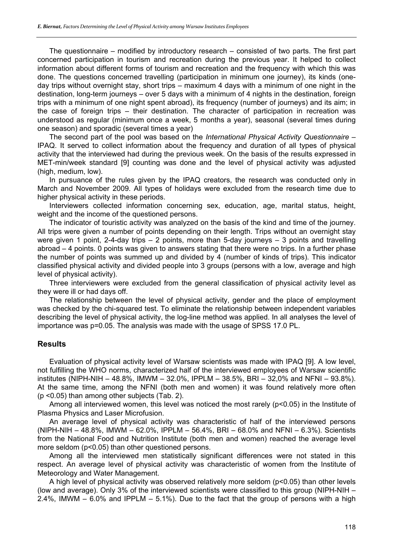The questionnaire – modified by introductory research – consisted of two parts. The first part concerned participation in tourism and recreation during the previous year. It helped to collect information about different forms of tourism and recreation and the frequency with which this was done. The questions concerned travelling (participation in minimum one journey), its kinds (oneday trips without overnight stay, short trips – maximum 4 days with a minimum of one night in the destination, long-term journeys – over 5 days with a minimum of 4 nights in the destination, foreign trips with a minimum of one night spent abroad), its frequency (number of journeys) and its aim; in the case of foreign trips – their destination. The character of participation in recreation was understood as regular (minimum once a week, 5 months a year), seasonal (several times during one season) and sporadic (several times a year)

The second part of the pool was based on the *International Physical Activity Questionnaire* – IPAQ. It served to collect information about the frequency and duration of all types of physical activity that the interviewed had during the previous week. On the basis of the results expressed in MET-min/week standard [9] counting was done and the level of physical activity was adjusted (high, medium, low).

In pursuance of the rules given by the IPAQ creators, the research was conducted only in March and November 2009. All types of holidays were excluded from the research time due to higher physical activity in these periods.

Interviewers collected information concerning sex, education, age, marital status, height, weight and the income of the questioned persons.

The indicator of touristic activity was analyzed on the basis of the kind and time of the journey. All trips were given a number of points depending on their length. Trips without an overnight stay were given 1 point, 2-4-day trips – 2 points, more than 5-day journeys – 3 points and travelling abroad – 4 points. 0 points was given to answers stating that there were no trips. In a further phase the number of points was summed up and divided by 4 (number of kinds of trips). This indicator classified physical activity and divided people into 3 groups (persons with a low, average and high level of physical activity).

Three interviewers were excluded from the general classification of physical activity level as they were ill or had days off.

The relationship between the level of physical activity, gender and the place of employment was checked by the chi-squared test. To eliminate the relationship between independent variables describing the level of physical activity, the log-line method was applied. In all analyses the level of importance was p=0.05. The analysis was made with the usage of SPSS 17.0 PL.

### **Results**

Evaluation of physical activity level of Warsaw scientists was made with IPAQ [9]. A low level, not fulfilling the WHO norms, characterized half of the interviewed employees of Warsaw scientific institutes (NIPH-NIH – 48.8%, IMWM – 32.0%, IPPLM – 38.5%, BRI – 32,0% and NFNI – 93.8%). At the same time, among the NFNI (both men and women) it was found relatively more often (p <0.05) than among other subjects (Tab. 2).

Among all interviewed women, this level was noticed the most rarely (p<0.05) in the Institute of Plasma Physics and Laser Microfusion.

An average level of physical activity was characteristic of half of the interviewed persons (NIPH-NIH – 48.8%, IMWM – 62.0%, IPPLM – 56.4%, BRI – 68.0% and NFNI – 6.3%). Scientists from the National Food and Nutrition Institute (both men and women) reached the average level more seldom (p<0.05) than other questioned persons.

Among all the interviewed men statistically significant differences were not stated in this respect. An average level of physical activity was characteristic of women from the Institute of Meteorology and Water Management.

A high level of physical activity was observed relatively more seldom (p<0.05) than other levels (low and average). Only 3% of the interviewed scientists were classified to this group (NIPH-NIH – 2.4%, IMWM – 6.0% and IPPLM – 5.1%). Due to the fact that the group of persons with a high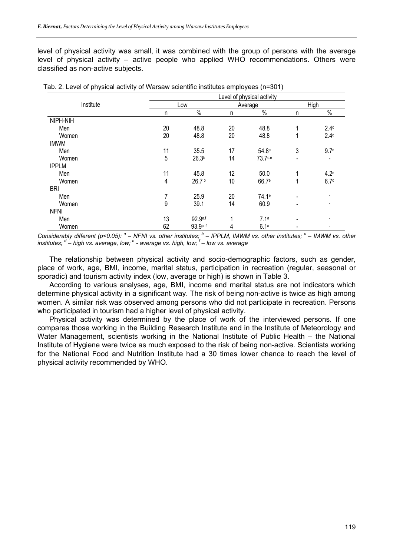level of physical activity was small, it was combined with the group of persons with the average level of physical activity – active people who applied WHO recommendations. Others were classified as non-active subjects.

|              | Level of physical activity |                   |         |                   |                          |                          |  |  |
|--------------|----------------------------|-------------------|---------|-------------------|--------------------------|--------------------------|--|--|
| Institute    |                            | Low               | Average |                   | High                     |                          |  |  |
|              | n                          | $\%$              | n       | $\%$              | n                        | $\%$                     |  |  |
| NIPH-NIH     |                            |                   |         |                   |                          |                          |  |  |
| Men          | 20                         | 48.8              | 20      | 48.8              | 1                        | 2.4 <sup>d</sup>         |  |  |
| Women        | 20                         | 48.8              | 20      | 48.8              | 1                        | 2.4 <sup>d</sup>         |  |  |
| <b>IMWM</b>  |                            |                   |         |                   |                          |                          |  |  |
| Men          | 11                         | 35.5              | 17      | 54.8 <sup>e</sup> | 3                        | 9.7 <sup>d</sup>         |  |  |
| Women        | 5                          | 26.3 <sup>b</sup> | 14      | 73.7ce            | $\blacksquare$           | $\overline{\phantom{a}}$ |  |  |
| <b>IPPLM</b> |                            |                   |         |                   |                          |                          |  |  |
| Men          | 11                         | 45.8              | 12      | 50.0              | 1                        | 4.2 <sup>d</sup>         |  |  |
| Women        | $\overline{\mathbf{4}}$    | 26.7b             | 10      | 66.7e             | 1                        | 6.7 <sup>d</sup>         |  |  |
| <b>BRI</b>   |                            |                   |         |                   |                          |                          |  |  |
| Men          | 7                          | 25.9              | 20      | 74.1 <sup>e</sup> | $\overline{\phantom{a}}$ |                          |  |  |
| Women        | 9                          | 39.1              | 14      | 60.9              | $\overline{\phantom{a}}$ |                          |  |  |
| <b>NFNI</b>  |                            |                   |         |                   |                          |                          |  |  |
| Men          | 13                         | 92.9a.f           | 1       | 7.1a              | $\overline{\phantom{a}}$ |                          |  |  |
| Women        | 62                         | 93.9a.f           | 4       | 6.1a              | $\blacksquare$           |                          |  |  |

| Tab. 2. Level of physical activity of Warsaw scientific institutes employees (n=301) |
|--------------------------------------------------------------------------------------|
|--------------------------------------------------------------------------------------|

Considerably different (p<0.05): <sup>a</sup> – NFNI vs. other institutes; <sup>b</sup> – IPPLM, IMWM vs. other institutes; <sup>c</sup> – IMWM vs. other *institutes; <sup>d</sup> – high vs. average, low; <sup>e</sup> - average vs. high, low; <sup>f</sup> – low vs. average* 

The relationship between physical activity and socio-demographic factors, such as gender, place of work, age, BMI, income, marital status, participation in recreation (regular, seasonal or sporadic) and tourism activity index (low, average or high) is shown in Table 3.

According to various analyses, age, BMI, income and marital status are not indicators which determine physical activity in a significant way. The risk of being non-active is twice as high among women. A similar risk was observed among persons who did not participate in recreation. Persons who participated in tourism had a higher level of physical activity.

Physical activity was determined by the place of work of the interviewed persons. If one compares those working in the Building Research Institute and in the Institute of Meteorology and Water Management, scientists working in the National Institute of Public Health – the National Institute of Hygiene were twice as much exposed to the risk of being non-active. Scientists working for the National Food and Nutrition Institute had a 30 times lower chance to reach the level of physical activity recommended by WHO.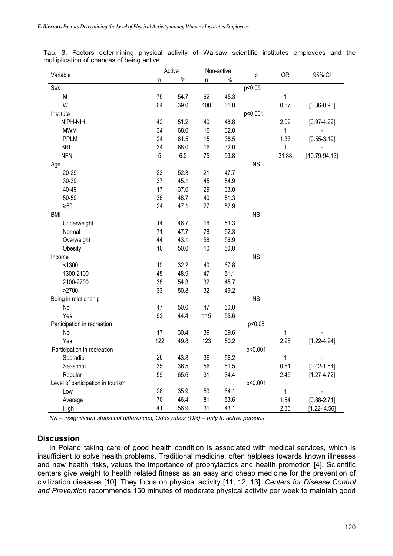| Variable                          | Active |      | Non-active |      |           | <b>OR</b> | 95% CI            |
|-----------------------------------|--------|------|------------|------|-----------|-----------|-------------------|
|                                   | n      | $\%$ | n          | $\%$ | р         |           |                   |
| Sex                               |        |      |            |      | p<0.05    |           |                   |
| M                                 | 75     | 54.7 | 62         | 45.3 |           | 1         |                   |
| W                                 | 64     | 39.0 | 100        | 61.0 |           | 0.57      | $[0.36 - 0.90]$   |
| Institute                         |        |      |            |      | p<0.001   |           |                   |
| NIPH-NIH                          | 42     | 51.2 | 40         | 48.8 |           | 2.02      | $[0.97 - 4.22]$   |
| <b>IMWM</b>                       | 34     | 68.0 | 16         | 32.0 |           | 1         |                   |
| <b>IPPLM</b>                      | 24     | 61.5 | 15         | 38.5 |           | 1.33      | $[0.55 - 3.19]$   |
| <b>BRI</b>                        | 34     | 68.0 | 16         | 32.0 |           | 1         |                   |
| <b>NFNI</b>                       | 5      | 6.2  | 75         | 93.8 |           | 31.88     | $[10.79 - 94.13]$ |
| Age                               |        |      |            |      | <b>NS</b> |           |                   |
| 20-29                             | 23     | 52.3 | 21         | 47.7 |           |           |                   |
| 30-39                             | 37     | 45.1 | 45         | 54.9 |           |           |                   |
| 40-49                             | 17     | 37.0 | 29         | 63.0 |           |           |                   |
| 50-59                             | 38     | 48.7 | 40         | 51.3 |           |           |                   |
| $\geq 60$                         | 24     | 47.1 | 27         | 52.9 |           |           |                   |
| <b>BMI</b>                        |        |      |            |      | <b>NS</b> |           |                   |
| Underweight                       | 14     | 46.7 | 16         | 53.3 |           |           |                   |
| Normal                            | 71     | 47.7 | 78         | 52.3 |           |           |                   |
| Overweight                        | 44     | 43.1 | 58         | 56.9 |           |           |                   |
| Obesity                           | 10     | 50.0 | 10         | 50.0 |           |           |                   |
| Income                            |        |      |            |      | <b>NS</b> |           |                   |
| < 1300                            | 19     | 32.2 | 40         | 67.8 |           |           |                   |
| 1300-2100                         | 45     | 48.9 | 47         | 51.1 |           |           |                   |
| 2100-2700                         | 38     | 54.3 | 32         | 45.7 |           |           |                   |
| >2700                             | 33     | 50.8 | 32         | 49.2 |           |           |                   |
| Being in relationship             |        |      |            |      | <b>NS</b> |           |                   |
| No                                | 47     | 50.0 | 47         | 50.0 |           |           |                   |
| Yes                               | 92     | 44.4 | 115        | 55.6 |           |           |                   |
| Participation in recreation       |        |      |            |      | p<0.05    |           |                   |
| No                                | 17     | 30.4 | 39         | 69.6 |           | 1         |                   |
| Yes                               | 122    | 49.8 | 123        | 50.2 |           | 2.28      | $[1.22 - 4.24]$   |
| Participation in recreation       |        |      |            |      | p<0.001   |           |                   |
| Sporadic                          | 28     | 43.8 | 36         | 56.2 |           | 1         |                   |
| Seasonal                          | 35     | 38.5 | 56         | 61.5 |           | 0.81      | $[0.42 - 1.54]$   |
| Regular                           | 59     | 65.6 | 31         | 34.4 |           | 2.45      | $[1.27 - 4.72]$   |
| Level of participation in tourism |        |      |            |      | p<0.001   |           |                   |
| Low                               | 28     | 35.9 | 50         | 64.1 |           | 1         |                   |
| Average                           | 70     | 46.4 | 81         | 53.6 |           | 1.54      | $[0.88 - 2.71]$   |
| High                              | 41     | 56.9 | 31         | 43.1 |           | 2.36      | $[1.22 - 4.56]$   |

Tab. 3. Factors determining physical activity of Warsaw scientific institutes employees and the multiplication of chances of being active

*NS – insignificant statistical differences; Odds ratios (OR) – only to active persons* 

#### **Discussion**

In Poland taking care of good health condition is associated with medical services, which is insufficient to solve health problems. Traditional medicine, often helpless towards known illnesses and new health risks, values the importance of prophylactics and health promotion [4]. Scientific centers give weight to health related fitness as an easy and cheap medicine for the prevention of civilization diseases [10]. They focus on physical activity [11, 12, 13]. *Centers for Disease Control and Prevention* recommends 150 minutes of moderate physical activity per week to maintain good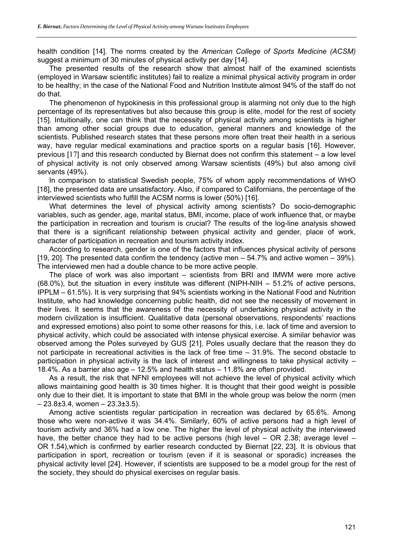health condition [14]. The norms created by the *American College of Sports Medicine (ACSM)*  suggest a minimum of 30 minutes of physical activity per day [14].

The presented results of the research show that almost half of the examined scientists (employed in Warsaw scientific institutes) fail to realize a minimal physical activity program in order to be healthy; in the case of the National Food and Nutrition Institute almost 94% of the staff do not do that.

The phenomenon of hypokinesis in this professional group is alarming not only due to the high percentage of its representatives but also because this group is elite, model for the rest of society [15]. Intuitionally, one can think that the necessity of physical activity among scientists is higher than among other social groups due to education, general manners and knowledge of the scientists. Published research states that these persons more often treat their health in a serious way, have regular medical examinations and practice sports on a regular basis [16]. However, previous [17] and this research conducted by Biernat does not confirm this statement – a low level of physical activity is not only observed among Warsaw scientists (49%) but also among civil servants (49%).

In comparison to statistical Swedish people, 75% of whom apply recommendations of WHO [18], the presented data are unsatisfactory. Also, if compared to Californians, the percentage of the interviewed scientists who fulfill the ACSM norms is lower (50%) [16].

What determines the level of physical activity among scientists? Do socio-demographic variables, such as gender, age, marital status, BMI, income, place of work influence that, or maybe the participation in recreation and tourism is crucial? The results of the log-line analysis showed that there is a significant relationship between physical activity and gender, place of work, character of participation in recreation and tourism activity index.

According to research, gender is one of the factors that influences physical activity of persons [19, 20]. The presented data confirm the tendency (active men – 54.7% and active women – 39%). The interviewed men had a double chance to be more active people.

The place of work was also important – scientists from BRI and IMWM were more active (68.0%), but the situation in every institute was different (NIPH-NIH – 51.2% of active persons, IPPLM – 61.5%). It is very surprising that 94% scientists working in the National Food and Nutrition Institute, who had knowledge concerning public health, did not see the necessity of movement in their lives. It seems that the awareness of the necessity of undertaking physical activity in the modern civilization is insufficient. Qualitative data (personal observations, respondents' reactions and expressed emotions) also point to some other reasons for this, i.e. lack of time and aversion to physical activity, which could be associated with intense physical exercise. A similar behavior was observed among the Poles surveyed by GUS [21]. Poles usually declare that the reason they do not participate in recreational activities is the lack of free time – 31.9%. The second obstacle to participation in physical activity is the lack of interest and willingness to take physical activity – 18.4%. As a barrier also age – 12.5% and health status – 11.8% are often provided.

As a result, the risk that NFNI employees will not achieve the level of physical activity which allows maintaining good health is 30 times higher. It is thought that their good weight is possible only due to their diet. It is important to state that BMI in the whole group was below the norm (men  $-23.8\pm3.4$ , women  $-23.3\pm3.5$ ).

Among active scientists regular participation in recreation was declared by 65.6%. Among those who were non-active it was 34.4%. Similarly, 60% of active persons had a high level of tourism activity and 36% had a low one. The higher the level of physical activity the interviewed have, the better chance they had to be active persons (high level  $-$  OR 2.38; average level  $-$ OR 1.54),which is confirmed by earlier research conducted by Biernat [22, 23]. It is obvious that participation in sport, recreation or tourism (even if it is seasonal or sporadic) increases the physical activity level [24]. However, if scientists are supposed to be a model group for the rest of the society, they should do physical exercises on regular basis.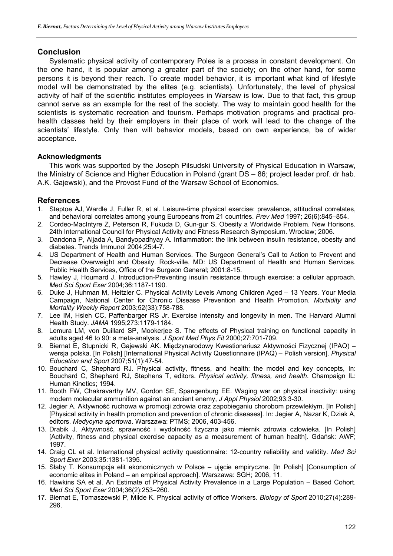# **Conclusion**

Systematic physical activity of contemporary Poles is a process in constant development. On the one hand, it is popular among a greater part of the society; on the other hand, for some persons it is beyond their reach. To create model behavior, it is important what kind of lifestyle model will be demonstrated by the elites (e.g. scientists). Unfortunately, the level of physical activity of half of the scientific institutes employees in Warsaw is low. Due to that fact, this group cannot serve as an example for the rest of the society. The way to maintain good health for the scientists is systematic recreation and tourism. Perhaps motivation programs and practical prohealth classes held by their employers in their place of work will lead to the change of the scientists' lifestyle. Only then will behavior models, based on own experience, be of wider acceptance.

#### **Acknowledgments**

This work was supported by the Joseph Pilsudski University of Physical Education in Warsaw, the Ministry of Science and Higher Education in Poland (grant DS – 86; project leader prof. dr hab. A.K. Gajewski), and the Provost Fund of the Warsaw School of Economics.

### **References**

- 1. Steptoe AJ, Wardle J, Fuller R, et al. Leisure-time physical exercise: prevalence, attitudinal correlates, and behavioral correlates among young Europeans from 21 countries. *Prev Med* 1997; 26(6):845–854.
- 2. Cordeo-MacIntyre Z, Peterson R, Fukuda D, Gun-gur S. Obesity a Worldwide Problem. New Horisons. 24th International Council for Physical Activity and Fitness Research Symposium. Wrocław; 2006.
- 3. Dandona P, Aljada A, Bandyopadhyay A. Inflammation: the link between insulin resistance, obesity and diabetes. Trends Immunol 2004;25:4-7.
- 4. US Department of Health and Human Services. The Surgeon General's Call to Action to Prevent and Decrease Overweight and Obesity. Rock-ville, MD: US Department of Health and Human Services. Public Health Services, Office of the Surgeon General; 2001:8-15.
- 5. Hawley J, Houmard J. Introduction-Preventing insulin resistance through exercise: a cellular approach. *Med Sci Sport Exer* 2004;36:1187-1190.
- 6. Duke J, Huhman M, Heitzler C. Physical Activity Levels Among Children Aged 13 Years. Your Media Campaign, National Center for Chronic Disease Prevention and Health Promotion. *Morbidity and Mortality Weekly Report* 2003;52(33):758-788.
- 7. Lee IM, Hsieh CC, Paffenbarger RS Jr. Exercise intensity and longevity in men. The Harvard Alumni Health Study. *JAMA* 1995;273:1179-1184.
- 8. Lemura LM, von Duillard SP, Mookerjee S. The effects of Physical training on functional capacity in adults aged 46 to 90: a meta-analysis. *J Sport Med Phys Fit* 2000;27:701-709.
- 9. Biernat E, Stupnicki R, Gajewski AK. Międzynarodowy Kwestionariusz Aktywności Fizycznej (IPAQ) wersja polska. [In Polish] [International Physical Activity Questionnaire (IPAQ) – Polish version]. *Physical Education and Sport* 2007;51(1):47-54.
- 10. Bouchard C, Shephard RJ. Physical activity, fitness, and health: the model and key concepts, In: Bouchard C, Shephard RJ, Stephens T, editors. *Physical activity, fitness, and health*. Champaign IL: Human Kinetics; 1994.
- 11. Booth FW, Chakravarthy MV, Gordon SE, Spangenburg EE. Waging war on physical inactivity: using modern molecular ammunition against an ancient enemy, *J Appl Physiol* 2002;93:3-30.
- 12. Jegier A. Aktywność ruchowa w promocji zdrowia oraz zapobieganiu chorobom przewlekłym. [In Polish] [Physical activity in health promotion and prevention of chronic diseases]. In: Jegier A, Nazar K, Dziak A, editors. *Medycyna sportowa*. Warszawa: PTMS; 2006, 403-456.
- 13. Drabik J. Aktywność, sprawność i wydolność fizyczna jako miernik zdrowia człowieka. [In Polish] [Activity, fitness and physical exercise capacity as a measurement of human health]. Gdańsk: AWF; 1997.
- 14. Craig CL et al. International physical activity questionnaire: 12-country reliability and validity. *Med Sci Sport Exer* 2003;35:1381-1395.
- 15. Słaby T. Konsumpcja elit ekonomicznych w Polsce ujęcie empiryczne. [In Polish] [Consumption of economic elites in Poland – an empirical approach]. Warszawa: SGH; 2006, 11.
- 16. Hawkins SA et al. An Estimate of Physical Activity Prevalence in a Large Population Based Cohort. *Med Sci Sport Exer* 2004;36(2):253–260.
- 17. Biernat E, Tomaszewski P, Milde K. Physical activity of office Workers. *Biology of Sport* 2010;27(4):289- 296.